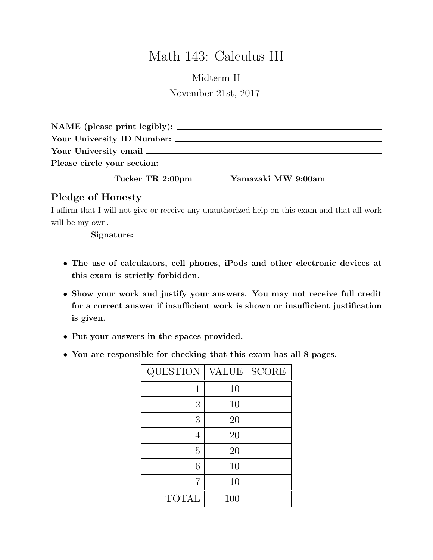## Math 143: Calculus III

Midterm II

November 21st, 2017

| $NAME$ (please print legibly): $\_\_$ |                    |
|---------------------------------------|--------------------|
| Your University ID Number:            |                    |
| Your University email                 |                    |
| Please circle your section:           |                    |
| Tucker TR 2:00pm                      | Yamazaki MW 9:00am |

## Pledge of Honesty

I affirm that I will not give or receive any unauthorized help on this exam and that all work will be my own.

Signature:

- The use of calculators, cell phones, iPods and other electronic devices at this exam is strictly forbidden.
- Show your work and justify your answers. You may not receive full credit for a correct answer if insufficient work is shown or insufficient justification is given.
- Put your answers in the spaces provided.
- You are responsible for checking that this exam has all 8 pages.

| <b>QUESTION</b> | <b>VALUE</b> | <b>SCORE</b> |
|-----------------|--------------|--------------|
| 1               | 10           |              |
| $\overline{2}$  | 10           |              |
| 3               | 20           |              |
| 4               | 20           |              |
| 5               | 20           |              |
| 6               | 10           |              |
| 7               | 10           |              |
| <b>TOTAL</b>    | 100          |              |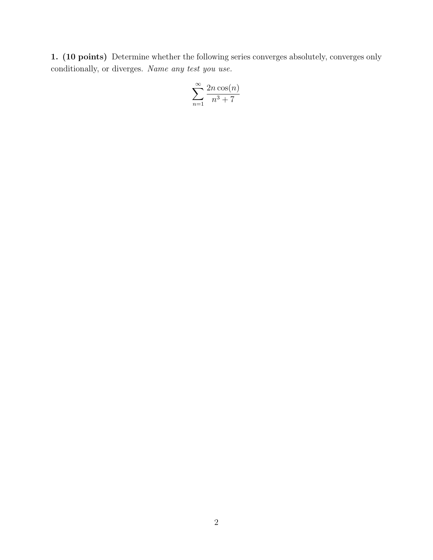1. (10 points) Determine whether the following series converges absolutely, converges only conditionally, or diverges. Name any test you use.

$$
\sum_{n=1}^{\infty} \frac{2n \cos(n)}{n^3 + 7}
$$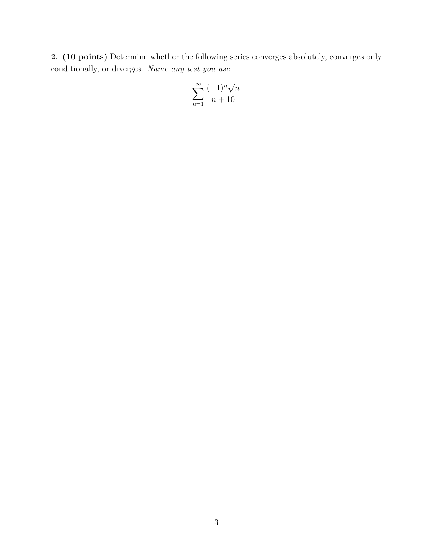2. (10 points) Determine whether the following series converges absolutely, converges only conditionally, or diverges. Name any test you use.

$$
\sum_{n=1}^{\infty} \frac{(-1)^n \sqrt{n}}{n+10}
$$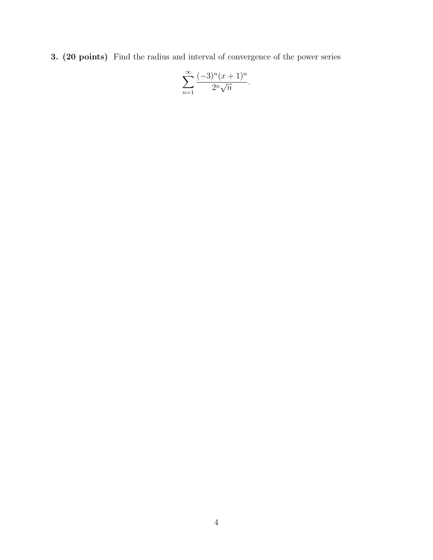3. (20 points) Find the radius and interval of convergence of the power series

$$
\sum_{n=1}^{\infty} \frac{(-3)^n (x+1)^n}{2^n \sqrt{n}}.
$$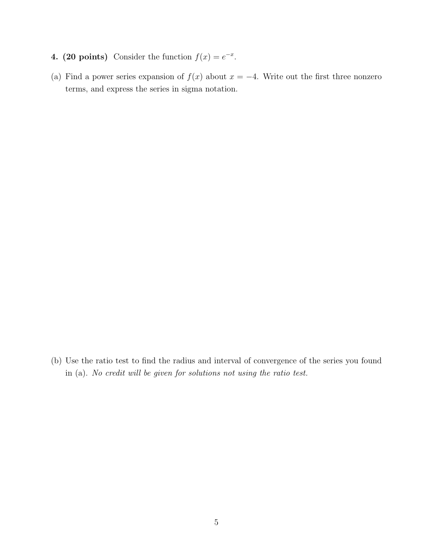- 4. (20 points) Consider the function  $f(x) = e^{-x}$ .
- (a) Find a power series expansion of  $f(x)$  about  $x = -4$ . Write out the first three nonzero terms, and express the series in sigma notation.

(b) Use the ratio test to find the radius and interval of convergence of the series you found in (a). No credit will be given for solutions not using the ratio test.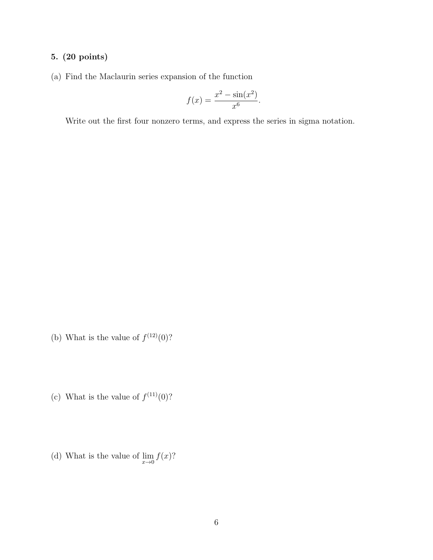## 5. (20 points)

(a) Find the Maclaurin series expansion of the function

$$
f(x) = \frac{x^2 - \sin(x^2)}{x^6}.
$$

Write out the first four nonzero terms, and express the series in sigma notation.

- (b) What is the value of  $f^{(12)}(0)$ ?
- (c) What is the value of  $f^{(11)}(0)$ ?
- (d) What is the value of  $\lim_{x\to 0} f(x)$ ?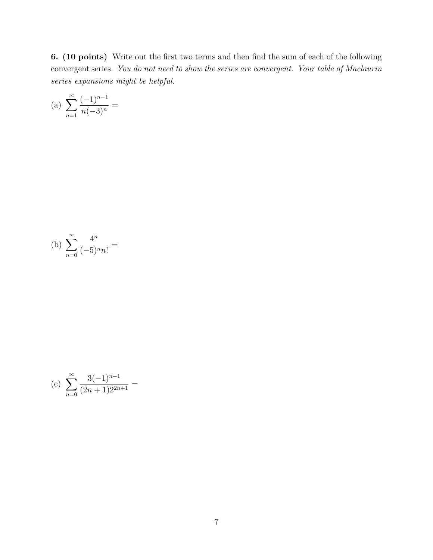6. (10 points) Write out the first two terms and then find the sum of each of the following convergent series. You do not need to show the series are convergent. Your table of Maclaurin series expansions might be helpful.

(a) 
$$
\sum_{n=1}^{\infty} \frac{(-1)^{n-1}}{n(-3)^n} =
$$

(b) 
$$
\sum_{n=0}^{\infty} \frac{4^n}{(-5)^n n!} =
$$

(c) 
$$
\sum_{n=0}^{\infty} \frac{3(-1)^{n-1}}{(2n+1)2^{2n+1}} =
$$